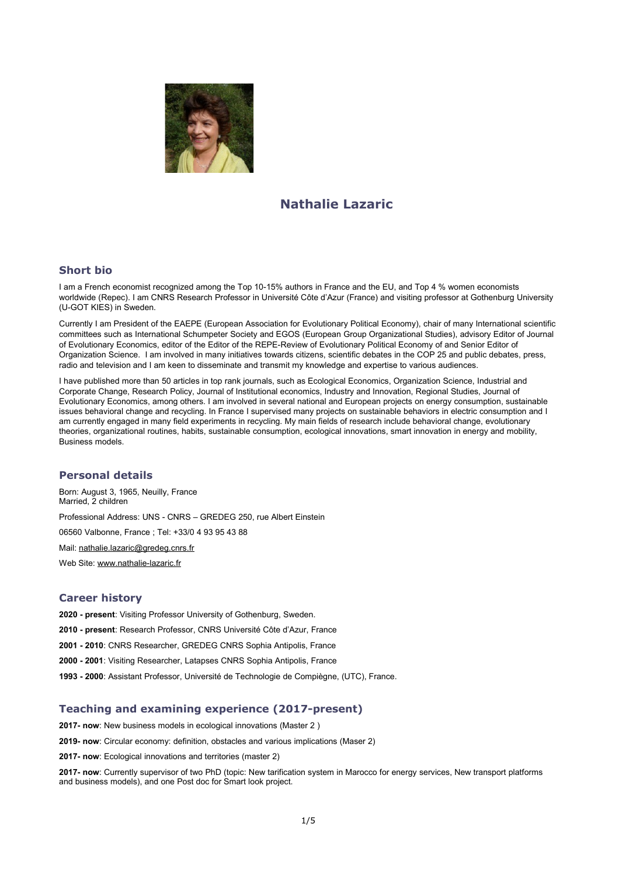

# **Nathalie Lazaric**

## **Short bio**

I am a French economist recognized among the Top 10-15% authors in France and the EU, and Top 4 % women economists worldwide (Repec). I am CNRS Research Professor in Université Côte d'Azur (France) and visiting professor at Gothenburg University (U-GOT KIES) in Sweden.

Currently I am President of the EAEPE (European Association for Evolutionary Political Economy), chair of many International scientific committees such as International Schumpeter Society and EGOS (European Group Organizational Studies), advisory Editor of Journal of Evolutionary Economics, editor of the Editor of the REPE-Review of Evolutionary Political Economy of and Senior Editor of Organization Science. I am involved in many initiatives towards citizens, scientific debates in the COP 25 and public debates, press, radio and television and I am keen to disseminate and transmit my knowledge and expertise to various audiences.

I have published more than 50 articles in top rank journals, such as Ecological Economics, Organization Science, Industrial and Corporate Change, Research Policy, Journal of Institutional economics, Industry and Innovation, Regional Studies, Journal of Evolutionary Economics, among others. I am involved in several national and European projects on energy consumption, sustainable issues behavioral change and recycling. In France I supervised many projects on sustainable behaviors in electric consumption and I am currently engaged in many field experiments in recycling. My main fields of research include behavioral change, evolutionary theories, organizational routines, habits, sustainable consumption, ecological innovations, smart innovation in energy and mobility, Business models.

## **Personal details**

Born: August 3, 1965, Neuilly, France Married, 2 children Professional Address: UNS - CNRS – GREDEG 250, rue Albert Einstein 06560 Valbonne, France ; Tel: +33/0 4 93 95 43 88 Mail: [nathalie.lazaric@gredeg.cnrs.fr](mailto:nathalie.lazaric@gredeg.cnrs.fr) Web Site: [www.nathalie-lazaric.fr](http://www.nathalie-lazaric.fr/)

## **Career history**

**2020 - present**: Visiting Professor University of Gothenburg, Sweden.

**2010 - present**: Research Professor, CNRS Université Côte d'Azur, France

**2001 - 2010**: CNRS Researcher, GREDEG CNRS Sophia Antipolis, France

**2000 - 2001**: Visiting Researcher, Latapses CNRS Sophia Antipolis, France

**1993 - 2000**: Assistant Professor, Université de Technologie de Compiègne, (UTC), France.

## **Teaching and examining experience (2017-present)**

**2017- now**: New business models in ecological innovations (Master 2 )

**2019- now**: Circular economy: definition, obstacles and various implications (Maser 2)

**2017- now**: Ecological innovations and territories (master 2)

**2017- now**: Currently supervisor of two PhD (topic: New tarification system in Marocco for energy services, New transport platforms and business models), and one Post doc for Smart look project.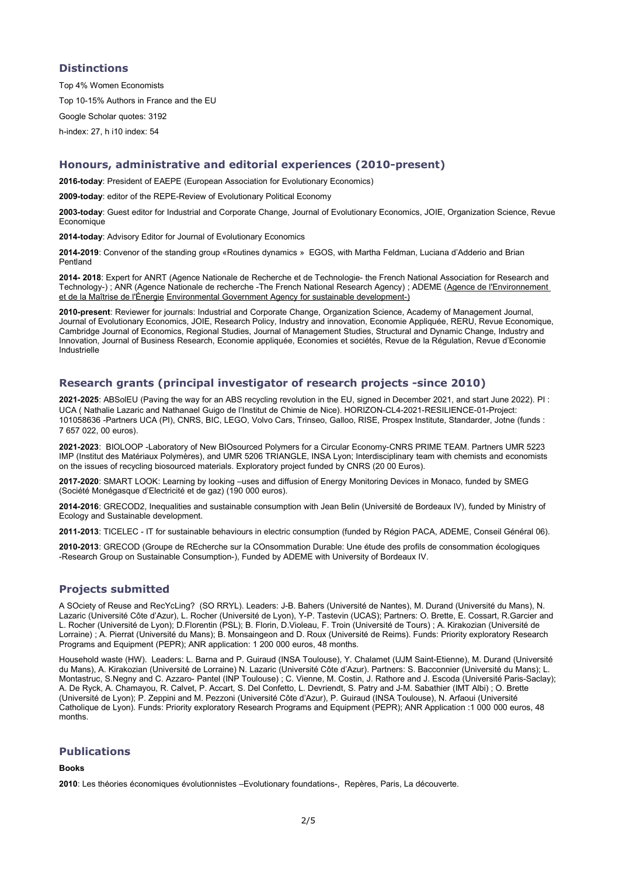## **Distinctions**

Top 4% Women Economists Top 10-15% Authors in France and the EU Google Scholar quotes: 3192 h-index: 27, h i10 index: 54

## **Honours, administrative and editorial experiences (2010-present)**

**2016-today**: President of EAEPE (European Association for Evolutionary Economics)

**2009-today**: editor of the REPE-Review of Evolutionary Political Economy

**2003-today**: Guest editor for Industrial and Corporate Change, Journal of Evolutionary Economics, JOIE, Organization Science, Revue Economique

**2014-today**: Advisory Editor for Journal of Evolutionary Economics

**2014-2019**: Convenor of the standing group «Routines dynamics » EGOS, with Martha Feldman, Luciana d'Adderio and Brian Pentland

**2014- 2018**: Expert for ANRT (Agence Nationale de Recherche et de Technologie- the French National Association for Research and Technology-) ; ANR (Agence Nationale de recherche -The French National Research Agency) ; ADEME (Agence de l'Environnement [et de la Maîtrise de l'Énergie](http://www.ademe.fr/) [Environmental Government Agency for sustainable development-\)](http://www.ademe.fr/)

**2010-present**: Reviewer for journals: Industrial and Corporate Change, Organization Science, Academy of Management Journal, Journal of Evolutionary Economics, JOIE, Research Policy, Industry and innovation, Economie Appliquée, RERU, Revue Economique, Cambridge Journal of Economics, Regional Studies, Journal of Management Studies, Structural and Dynamic Change, Industry and Innovation, Journal of Business Research, Economie appliquée, Economies et sociétés, Revue de la Régulation, Revue d'Economie Industrielle

## **Research grants (principal investigator of research projects -since 2010)**

**2021-2025**: ABSolEU (Paving the way for an ABS recycling revolution in the EU, signed in December 2021, and start June 2022). PI : UCA ( Nathalie Lazaric and Nathanael Guigo de l'Institut de Chimie de Nice). HORIZON-CL4-2021-RESILIENCE-01-Project: 101058636 -Partners UCA (PI), CNRS, BIC, LEGO, Volvo Cars, Trinseo, Galloo, RISE, Prospex Institute, Standarder, Jotne (funds : 7 657 022, 00 euros).

**2021-2023**: BIOLOOP -Laboratory of New BIOsourced Polymers for a Circular Economy-CNRS PRIME TEAM. Partners UMR 5223 IMP (Institut des Matériaux Polymères), and UMR 5206 TRIANGLE, INSA Lyon; Interdisciplinary team with chemists and economists on the issues of recycling biosourced materials. Exploratory project funded by CNRS (20 00 Euros).

**2017-2020**: SMART LOOK: Learning by looking –uses and diffusion of Energy Monitoring Devices in Monaco, funded by SMEG (Société Monégasque d'Electricité et de gaz) (190 000 euros).

**2014-2016**: GRECOD2, Inequalities and sustainable consumption with Jean Belin (Université de Bordeaux IV), funded by Ministry of Ecology and Sustainable development.

**2011-2013**: TICELEC - IT for sustainable behaviours in electric consumption (funded by Région PACA, ADEME, Conseil Général 06).

**2010-2013**: GRECOD (Groupe de REcherche sur la COnsommation Durable: Une étude des profils de consommation écologiques -Research Group on Sustainable Consumption-), Funded by ADEME with University of Bordeaux IV.

## **Projects submitted**

A SOciety of Reuse and RecYcLing? (SO RRYL). Leaders: J-B. Bahers (Université de Nantes), M. Durand (Université du Mans), N. Lazaric (Université Côte d'Azur), L. Rocher (Université de Lyon), Y-P. Tastevin (UCAS); Partners: O. Brette, E. Cossart, R.Garcier and L. Rocher (Université de Lyon); D.Florentin (PSL); B. Florin, D.Violeau, F. Troin (Université de Tours) ; A. Kirakozian (Université de Lorraine) ; A. Pierrat (Université du Mans); B. Monsaingeon and D. Roux (Université de Reims). Funds: Priority exploratory Research Programs and Equipment (PEPR); ANR application: 1 200 000 euros, 48 months.

Household waste (HW). Leaders: L. Barna and P. Guiraud (INSA Toulouse), Y. Chalamet (UJM Saint-Etienne), M. Durand (Université du Mans), A. Kirakozian (Université de Lorraine) N. Lazaric (Université Côte d'Azur). Partners: S. Bacconnier (Université du Mans); L. Montastruc, S.Negny and C. Azzaro- Pantel (INP Toulouse); C. Vienne, M. Costin, J. Rathore and J. Escoda (Université Paris-Saclay); A. De Ryck, A. Chamayou, R. Calvet, P. Accart, S. Del Confetto, L. Devriendt, S. Patry and J-M. Sabathier (IMT Albi) ; O. Brette (Université de Lyon); P. Zeppini and M. Pezzoni (Université Côte d'Azur), P. Guiraud (INSA Toulouse), N. Arfaoui (Université Catholique de Lyon). Funds: Priority exploratory Research Programs and Equipment (PEPR); ANR Application :1 000 000 euros, 48 months.

## **Publications**

#### **Books**

**2010**: Les théories économiques évolutionnistes –Evolutionary foundations-, Repères, Paris, La découverte.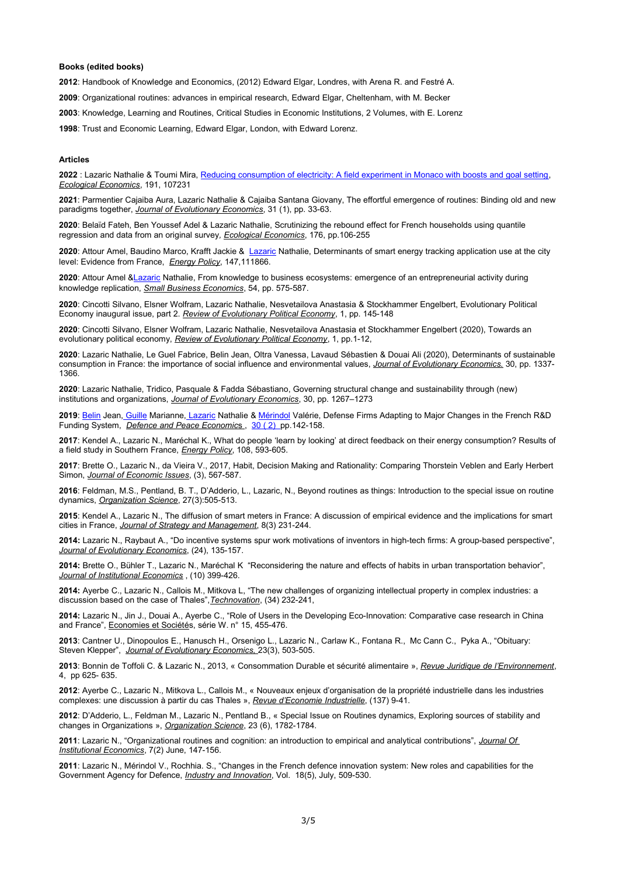#### **Books (edited books)**

**2012**: Handbook of Knowledge and Economics, (2012) Edward Elgar, Londres, with Arena R. and Festré A.

**2009**: Organizational routines: advances in empirical research, Edward Elgar, Cheltenham, with M. Becker

**2003**: Knowledge, Learning and Routines, Critical Studies in Economic Institutions, 2 Volumes, with E. Lorenz

**1998**: Trust and Economic Learning, Edward Elgar, London, with Edward Lorenz.

#### **Articles**

**2022** : Lazaric Nathalie & Toumi Mira, [Reducing consumption of electricity: A field experiment in Monaco with boosts and goal setting,](https://scholar.google.com/citations?view_op=view_citation&hl=fr&user=xLZGTgUAAAAJ&sortby=pubdate&citation_for_view=xLZGTgUAAAAJ:uLbwQdceFCQC) *Ecological Economics*, 191, 107231

**2021**: Parmentier Cajaiba Aura, Lazaric Nathalie & Cajaiba Santana Giovany, The effortful emergence of routines: Binding old and new paradigms together, *Journal of Evolutionary Economics*, 31 (1), pp. 33-63.

**2020**: Belaïd Fateh, Ben Youssef Adel & Lazaric Nathalie, Scrutinizing the rebound effect for French households using quantile regression and data from an original survey*, Ecological Economics*, 176, pp.106-255

**2020**: Attour Amel, Baudino Marco, Krafft Jackie & [Lazaric](https://scholar.google.fr/citations?user=xLZGTgUAAAAJ&hl=fr&oi=sra) Nathalie, Determinants of smart energy tracking application use at the city level: Evidence from France, *Energy Policy*, 147,111866.

**2020**: Attour Amel [&Lazaric](https://scholar.google.fr/citations?user=xLZGTgUAAAAJ&hl=fr&oi=sra) Nathalie, From knowledge to business ecosystems: emergence of an entrepreneurial activity during knowledge replication, *Small Business Economics*, 54, pp. 575-587.

**2020**: Cincotti Silvano, Elsner Wolfram, Lazaric Nathalie, Nesvetailova Anastasia & Stockhammer Engelbert, Evolutionary Political Economy inaugural issue, part 2. *Review of Evolutionary Political Economy*, 1, pp. 145-148

**2020**: Cincotti Silvano, Elsner Wolfram, Lazaric Nathalie, Nesvetailova Anastasia et Stockhammer Engelbert (2020), Towards an evolutionary political economy, *Review of Evolutionary Political Economy*, 1, pp.1-12,

**2020**: Lazaric Nathalie, Le Guel Fabrice, Belin Jean, Oltra Vanessa, Lavaud Sébastien & Douai Ali (2020), Determinants of sustainable consumption in France: the importance of social influence and environmental values, *Journal of Evolutionary Economics.* 30, pp. 1337- 1366.

**2020**: Lazaric Nathalie, Tridico, Pasquale & Fadda Sébastiano, Governing structural change and sustainability through (new) institutions and organizations, *Journal of Evolutionary Economics*, 30, pp. 1267–1273

**2019**: [Belin](https://www.tandfonline.com/author/Belin%2C+Jean) Jean[, Guille](https://www.tandfonline.com/author/Guille%2C+Marianne) Marianne[, Lazaric](https://www.tandfonline.com/author/Lazaric%2C+Nathalie) Nathalie & [Mérindol](https://www.tandfonline.com/author/M%C3%A9rindol%2C+Val%C3%A9rie) Valérie, Defense Firms Adapting to Major Changes in the French R&D Funding System, *Defence and Peace Economics*, 30 (2) pp. 142-158.

**2017**: Kendel A., Lazaric N., Maréchal K., What do people 'learn by looking' at direct feedback on their energy consumption? Results of a field study in Southern France, *Energy Policy*, 108, 593-605.

**2017**: Brette O., Lazaric N., da Vieira V., 2017, Habit, Decision Making and Rationality: Comparing Thorstein Veblen and Early Herbert Simon, *Journal of Economic Issues*, (3), 567-587.

**2016**: Feldman, M.S., Pentland, B. T., D'Adderio, L., Lazaric, N., Beyond routines as things: Introduction to the special issue on routine dynamics, *Organization Science*, 27(3):505-513.

**2015**: Kendel A., Lazaric N., The diffusion of smart meters in France: A discussion of empirical evidence and the implications for smart cities in France, *Journal of Strategy and Management*, 8(3) 231-244.

**2014:** Lazaric N., Raybaut A., "Do incentive systems spur work motivations of inventors in high-tech firms: A group-based perspective", *Journal of Evolutionary Economics*, (24), 135-157.

**2014:** Brette O., Bühler T., Lazaric N., Maréchal K "Reconsidering the nature and effects of habits in urban transportation behavior", *Journal of Institutional Economics* , (10) 399-426.

**2014:** Ayerbe C., Lazaric N., Callois M., Mitkova L, "The new challenges of organizing intellectual property in complex industries: a discussion based on the case of Thales",*Technovation*, (34) 232-241,

**2014:** Lazaric N., Jin J., Douai A., Ayerbe C., "Role of Users in the Developing Eco-Innovation: Comparative case research in China and France", Economies et Sociétés, série W. n° 15, 455-476.

**2013**: Cantner U., Dinopoulos E., Hanusch H., Orsenigo L., Lazaric N., Carlaw K., Fontana R., Mc Cann C., Pyka A., "Obituary: Steven Klepper", *Journal of Evolutionary Economics,* 23(3), 503-505.

**2013**: Bonnin de Toffoli C. & Lazaric N., 2013, « Consommation Durable et sécurité alimentaire », *Revue Juridique de l'Environnement*, 4, pp 625- 635.

**2012**: Ayerbe C., Lazaric N., Mitkova L., Callois M., « Nouveaux enjeux d'organisation de la propriété industrielle dans les industries complexes: une discussion à partir du cas Thales », *Revue d'Economie Industrielle*, (137) 9-41.

**2012**: D'Adderio, L., Feldman M., Lazaric N., Pentland B., « Special Issue on Routines dynamics, Exploring sources of stability and changes in Organizations », *Organization Science*, 23 (6), 1782-1784.

**2011**: Lazaric N., "Organizational routines and cognition: an introduction to empirical and analytical contributions", *Journal Of Institutional Economics*, 7(2) June, 147-156.

**2011**: Lazaric N., Mérindol V., Rochhia. S., "Changes in the French defence innovation system: New roles and capabilities for the Government Agency for Defence, *Industry and Innovation*, Vol. 18(5), July, 509-530.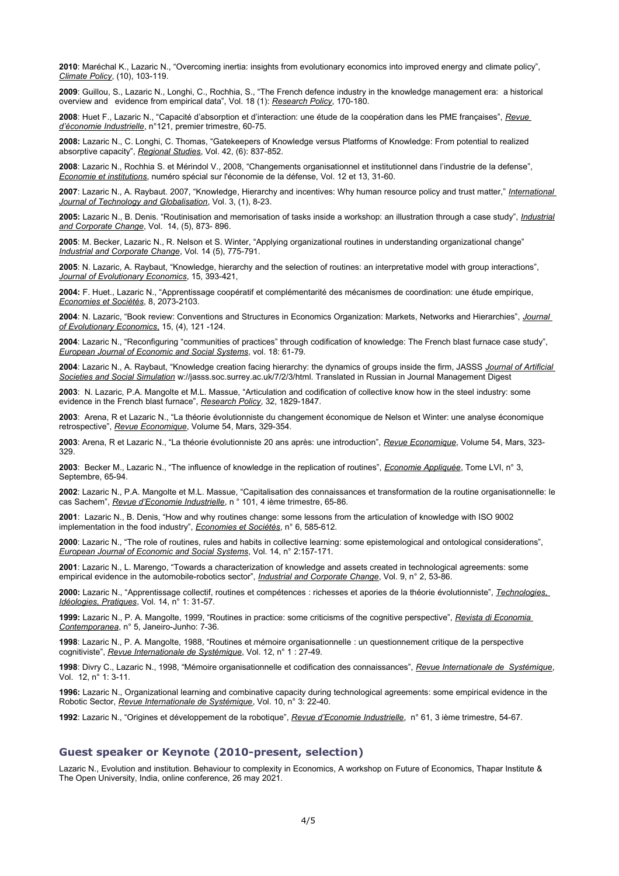**2010**: Maréchal K., Lazaric N., "Overcoming inertia: insights from evolutionary economics into improved energy and climate policy", *Climate Policy*, (10), 103-119.

**2009**: Guillou, S., Lazaric N., Longhi, C., Rochhia, S., "The French defence industry in the knowledge management era: a historical overview and evidence from empirical data", Vol. 18 (1): *Research Policy*, 170-180.

**2008**: Huet F., Lazaric N., "Capacité d'absorption et d'interaction: une étude de la coopération dans les PME françaises", *Revue d'économie Industrielle*, n°121, premier trimestre, 60-75.

**2008:** Lazaric N., C. Longhi, C. Thomas, "Gatekeepers of Knowledge versus Platforms of Knowledge: From potential to realized absorptive capacity", *Regional Studies*, Vol. 42, (6): 837-852.

**2008**: Lazaric N., Rochhia S. et Mérindol V., 2008, "Changements organisationnel et institutionnel dans l'industrie de la defense", *Economie et institutions*, numéro spécial sur l'économie de la défense, Vol. 12 et 13, 31-60.

**2007**: Lazaric N., A. Raybaut. 2007, "Knowledge, Hierarchy and incentives: Why human resource policy and trust matter," *International Journal of Technology and Globalisation*, Vol. 3, (1), 8-23.

**2005:** Lazaric N., B. Denis. "Routinisation and memorisation of tasks inside a workshop: an illustration through a case study", *Industrial and Corporate Change*, Vol. 14, (5), 873- 896.

**2005**: M. Becker, Lazaric N., R. Nelson et S. Winter, "Applying organizational routines in understanding organizational change" *Industrial and Corporate Change*, Vol. 14 (5), 775-791.

**2005**: N. Lazaric, A. Raybaut, "Knowledge, hierarchy and the selection of routines: an interpretative model with group interactions", *Journal of Evolutionary Economics*, 15, 393-421,

**2004:** F. Huet., Lazaric N., "Apprentissage coopératif et complémentarité des mécanismes de coordination: une étude empirique, *Economies et Sociétés*, 8, 2073-2103.

**2004**: N. Lazaric, "Book review: Conventions and Structures in Economics Organization: Markets, Networks and Hierarchies", *Journal of Evolutionary Economics*, 15, (4), 121 -124.

**2004**: Lazaric N., "Reconfiguring "communities of practices" through codification of knowledge: The French blast furnace case study", *European Journal of Economic and Social Systems*, vol. 18: 61-79.

**2004**: Lazaric N., A. Raybaut, "Knowledge creation facing hierarchy: the dynamics of groups inside the firm, JASSS *Journal of Artificial Societies and Social Simulation* w://jasss.soc.surrey.ac.uk/7/2/3/html. Translated in Russian in Journal Management Digest

**2003**: N. Lazaric, P.A. Mangolte et M.L. Massue, "Articulation and codification of collective know how in the steel industry: some evidence in the French blast furnace", *Research Policy*, 32, 1829-1847.

**2003**: Arena, R et Lazaric N., "La théorie évolutionniste du changement économique de Nelson et Winter: une analyse économique retrospective", *Revue Economique*, Volume 54, Mars, 329-354.

**2003**: Arena, R et Lazaric N., "La théorie évolutionniste 20 ans après: une introduction", *Revue Economique*, Volume 54, Mars, 323- 329.

**2003**: Becker M., Lazaric N., "The influence of knowledge in the replication of routines", *Economie Appliquée*, Tome LVI, n° 3, Septembre, 65-94

**2002**: Lazaric N., P.A. Mangolte et M.L. Massue, "Capitalisation des connaissances et transformation de la routine organisationnelle: le cas Sachem", *Revue d'Economie Industrielle*, n ° 101, 4 ième trimestre, 65-86.

**2001**: Lazaric N., B. Denis, "How and why routines change: some lessons from the articulation of knowledge with ISO 9002 implementation in the food industry", *Economies et Sociétés*, n° 6, 585-612.

**2000**: Lazaric N., "The role of routines, rules and habits in collective learning: some epistemological and ontological considerations", *European Journal of Economic and Social Systems*, Vol. 14, n° 2:157-171.

**2001**: Lazaric N., L. Marengo, "Towards a characterization of knowledge and assets created in technological agreements: some empirical evidence in the automobile-robotics sector", *Industrial and Corporate Change*, Vol. 9, n° 2, 53-86.

**2000:** Lazaric N., "Apprentissage collectif, routines et compétences : richesses et apories de la théorie évolutionniste", *Technologies, Idéologies, Pratiques*, Vol. 14, n° 1: 31-57.

**1999:** Lazaric N., P. A. Mangolte, 1999, "Routines in practice: some criticisms of the cognitive perspective", *Revista di Economia Contemporanea*, n° 5, Janeiro-Junho: 7-36.

**1998**: Lazaric N., P. A. Mangolte, 1988, "Routines et mémoire organisationnelle : un questionnement critique de la perspective cognitiviste", *Revue Internationale de Systémique*, Vol. 12, n° 1 : 27-49.

**1998**: Divry C., Lazaric N., 1998, "Mémoire organisationnelle et codification des connaissances", *Revue Internationale de Systémique*, Vol. 12, n° 1: 3-11.

**1996:** Lazaric N., Organizational learning and combinative capacity during technological agreements: some empirical evidence in the Robotic Sector, *Revue Internationale de Systémique*, Vol. 10, n° 3: 22-40.

**1992**: Lazaric N., "Origines et développement de la robotique", *Revue d'Economie Industrielle*, n° 61, 3 ième trimestre, 54-67.

## **Guest speaker or Keynote (2010-present, selection)**

Lazaric N., Evolution and institution. Behaviour to complexity in Economics, A workshop on Future of Economics, Thapar Institute & The Open University, India, online conference, 26 may 2021.